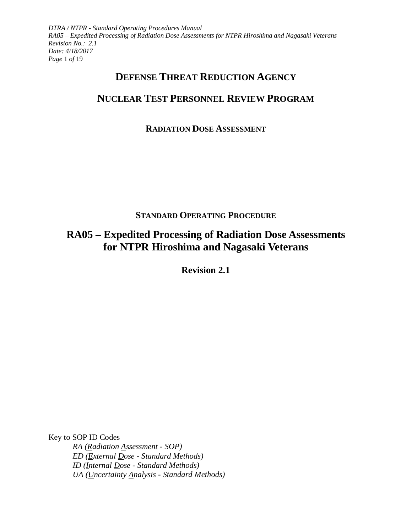*DTRA / NTPR - Standard Operating Procedures Manual RA05 – Expedited Processing of Radiation Dose Assessments for NTPR Hiroshima and Nagasaki Veterans Revision No.: 2.1 Date: 4/18/2017 Page* 1 *of* 19

## **DEFENSE THREAT REDUCTION AGENCY**

# **NUCLEAR TEST PERSONNEL REVIEW PROGRAM**

## **RADIATION DOSE ASSESSMENT**

## **STANDARD OPERATING PROCEDURE**

# **RA05 – Expedited Processing of Radiation Dose Assessments for NTPR Hiroshima and Nagasaki Veterans**

**Revision 2.1**

Key to SOP ID Codes

*RA (Radiation Assessment - SOP) ED (External Dose - Standard Methods) ID (Internal Dose - Standard Methods) UA (Uncertainty Analysis - Standard Methods)*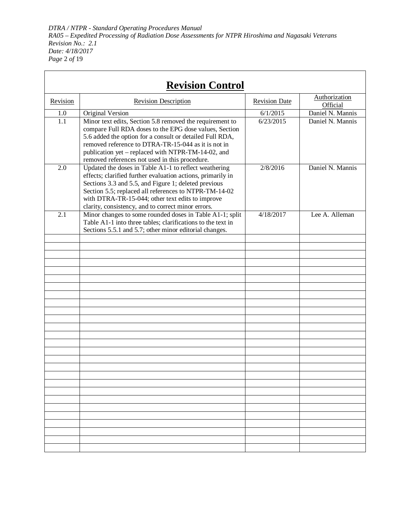*DTRA / NTPR - Standard Operating Procedures Manual RA05 – Expedited Processing of Radiation Dose Assessments for NTPR Hiroshima and Nagasaki Veterans Revision No.: 2.1 Date: 4/18/2017 Page* 2 *of* 19

 $\mathsf{r}$ 

|          | <b>Revision Control</b>                                                                                                                                                                                                                                                                                                                         |                      |                           |
|----------|-------------------------------------------------------------------------------------------------------------------------------------------------------------------------------------------------------------------------------------------------------------------------------------------------------------------------------------------------|----------------------|---------------------------|
| Revision | <b>Revision Description</b>                                                                                                                                                                                                                                                                                                                     | <b>Revision Date</b> | Authorization<br>Official |
| 1.0      | Original Version                                                                                                                                                                                                                                                                                                                                | 6/1/2015             | Daniel N. Mannis          |
| 1.1      | Minor text edits, Section 5.8 removed the requirement to<br>compare Full RDA doses to the EPG dose values, Section<br>5.6 added the option for a consult or detailed Full RDA,<br>removed reference to DTRA-TR-15-044 as it is not in<br>publication yet – replaced with NTPR-TM-14-02, and<br>removed references not used in this procedure.   | 6/23/2015            | Daniel N. Mannis          |
| 2.0      | Updated the doses in Table A1-1 to reflect weathering<br>effects; clarified further evaluation actions, primarily in<br>Sections 3.3 and 5.5, and Figure 1; deleted previous<br>Section 5.5; replaced all references to NTPR-TM-14-02<br>with DTRA-TR-15-044; other text edits to improve<br>clarity, consistency, and to correct minor errors. | 2/8/2016             | Daniel N. Mannis          |
| 2.1      | Minor changes to some rounded doses in Table A1-1; split<br>Table A1-1 into three tables; clarifications to the text in<br>Sections 5.5.1 and 5.7; other minor editorial changes.                                                                                                                                                               | 4/18/2017            | Lee A. Alleman            |
|          |                                                                                                                                                                                                                                                                                                                                                 |                      |                           |
|          |                                                                                                                                                                                                                                                                                                                                                 |                      |                           |
|          |                                                                                                                                                                                                                                                                                                                                                 |                      |                           |
|          |                                                                                                                                                                                                                                                                                                                                                 |                      |                           |
|          |                                                                                                                                                                                                                                                                                                                                                 |                      |                           |
|          |                                                                                                                                                                                                                                                                                                                                                 |                      |                           |
|          |                                                                                                                                                                                                                                                                                                                                                 |                      |                           |
|          |                                                                                                                                                                                                                                                                                                                                                 |                      |                           |
|          |                                                                                                                                                                                                                                                                                                                                                 |                      |                           |
|          |                                                                                                                                                                                                                                                                                                                                                 |                      |                           |
|          |                                                                                                                                                                                                                                                                                                                                                 |                      |                           |
|          |                                                                                                                                                                                                                                                                                                                                                 |                      |                           |
|          |                                                                                                                                                                                                                                                                                                                                                 |                      |                           |
|          |                                                                                                                                                                                                                                                                                                                                                 |                      |                           |
|          |                                                                                                                                                                                                                                                                                                                                                 |                      |                           |
|          |                                                                                                                                                                                                                                                                                                                                                 |                      |                           |
|          |                                                                                                                                                                                                                                                                                                                                                 |                      |                           |
|          |                                                                                                                                                                                                                                                                                                                                                 |                      |                           |
|          |                                                                                                                                                                                                                                                                                                                                                 |                      |                           |
|          |                                                                                                                                                                                                                                                                                                                                                 |                      |                           |
|          |                                                                                                                                                                                                                                                                                                                                                 |                      |                           |
|          |                                                                                                                                                                                                                                                                                                                                                 |                      |                           |
|          |                                                                                                                                                                                                                                                                                                                                                 |                      |                           |
|          |                                                                                                                                                                                                                                                                                                                                                 |                      |                           |
|          |                                                                                                                                                                                                                                                                                                                                                 |                      |                           |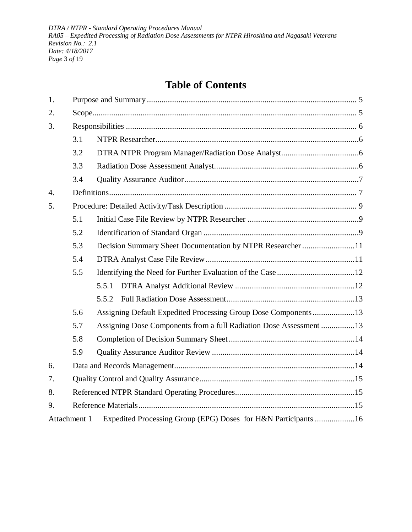*DTRA / NTPR - Standard Operating Procedures Manual RA05 – Expedited Processing of Radiation Dose Assessments for NTPR Hiroshima and Nagasaki Veterans Revision No.: 2.1 Date: 4/18/2017 Page* 3 *of* 19

# **Table of Contents**

| 1. |              |                                                                    |  |  |  |  |
|----|--------------|--------------------------------------------------------------------|--|--|--|--|
| 2. |              |                                                                    |  |  |  |  |
| 3. |              |                                                                    |  |  |  |  |
|    | 3.1          |                                                                    |  |  |  |  |
|    | 3.2          |                                                                    |  |  |  |  |
|    | 3.3          |                                                                    |  |  |  |  |
|    | 3.4          |                                                                    |  |  |  |  |
| 4. |              |                                                                    |  |  |  |  |
| 5. |              |                                                                    |  |  |  |  |
|    | 5.1          |                                                                    |  |  |  |  |
|    | 5.2          |                                                                    |  |  |  |  |
|    | 5.3          | Decision Summary Sheet Documentation by NTPR Researcher11          |  |  |  |  |
|    | 5.4          |                                                                    |  |  |  |  |
|    | 5.5          |                                                                    |  |  |  |  |
|    |              | 5.5.1                                                              |  |  |  |  |
|    |              | 5.5.2                                                              |  |  |  |  |
|    | 5.6          | Assigning Default Expedited Processing Group Dose Components 13    |  |  |  |  |
|    | 5.7          | Assigning Dose Components from a full Radiation Dose Assessment 13 |  |  |  |  |
|    | 5.8          |                                                                    |  |  |  |  |
|    | 5.9          |                                                                    |  |  |  |  |
| 6. |              |                                                                    |  |  |  |  |
| 7. |              |                                                                    |  |  |  |  |
| 8. |              |                                                                    |  |  |  |  |
| 9. |              |                                                                    |  |  |  |  |
|    | Attachment 1 | Expedited Processing Group (EPG) Doses for H&N Participants 16     |  |  |  |  |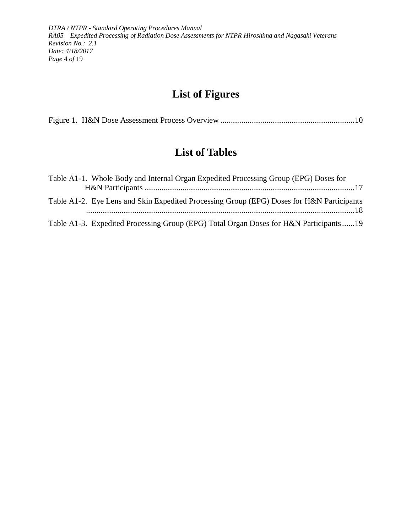*DTRA / NTPR - Standard Operating Procedures Manual RA05 – Expedited Processing of Radiation Dose Assessments for NTPR Hiroshima and Nagasaki Veterans Revision No.: 2.1 Date: 4/18/2017 Page* 4 *of* 19

# **List of Figures**

|--|--|--|

## **List of Tables**

| Table A1-1. Whole Body and Internal Organ Expedited Processing Group (EPG) Doses for      |
|-------------------------------------------------------------------------------------------|
|                                                                                           |
| Table A1-2. Eye Lens and Skin Expedited Processing Group (EPG) Doses for H&N Participants |
| Table A1-3. Expedited Processing Group (EPG) Total Organ Doses for H&N Participants19     |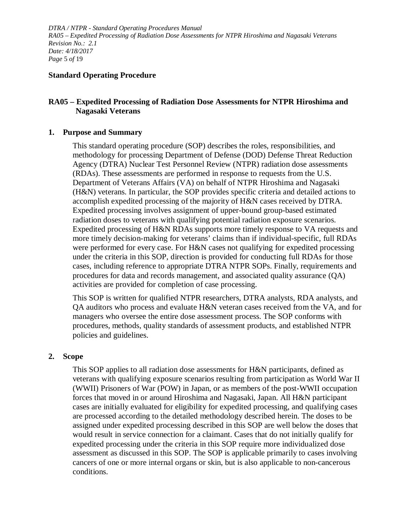*DTRA / NTPR - Standard Operating Procedures Manual RA05 – Expedited Processing of Radiation Dose Assessments for NTPR Hiroshima and Nagasaki Veterans Revision No.: 2.1 Date: 4/18/2017 Page* 5 *of* 19

#### **Standard Operating Procedure**

#### **RA05 – Expedited Processing of Radiation Dose Assessments for NTPR Hiroshima and Nagasaki Veterans**

#### <span id="page-4-0"></span>**1. Purpose and Summary**

This standard operating procedure (SOP) describes the roles, responsibilities, and methodology for processing Department of Defense (DOD) Defense Threat Reduction Agency (DTRA) Nuclear Test Personnel Review (NTPR) radiation dose assessments (RDAs). These assessments are performed in response to requests from the U.S. Department of Veterans Affairs (VA) on behalf of NTPR Hiroshima and Nagasaki (H&N) veterans. In particular, the SOP provides specific criteria and detailed actions to accomplish expedited processing of the majority of H&N cases received by DTRA. Expedited processing involves assignment of upper-bound group-based estimated radiation doses to veterans with qualifying potential radiation exposure scenarios. Expedited processing of H&N RDAs supports more timely response to VA requests and more timely decision-making for veterans' claims than if individual-specific, full RDAs were performed for every case. For H&N cases not qualifying for expedited processing under the criteria in this SOP, direction is provided for conducting full RDAs for those cases, including reference to appropriate DTRA NTPR SOPs. Finally, requirements and procedures for data and records management, and associated quality assurance (QA) activities are provided for completion of case processing.

This SOP is written for qualified NTPR researchers, DTRA analysts, RDA analysts, and QA auditors who process and evaluate H&N veteran cases received from the VA, and for managers who oversee the entire dose assessment process. The SOP conforms with procedures, methods, quality standards of assessment products, and established NTPR policies and guidelines.

#### <span id="page-4-1"></span>**2. Scope**

This SOP applies to all radiation dose assessments for H&N participants, defined as veterans with qualifying exposure scenarios resulting from participation as World War II (WWII) Prisoners of War (POW) in Japan, or as members of the post-WWII occupation forces that moved in or around Hiroshima and Nagasaki, Japan. All H&N participant cases are initially evaluated for eligibility for expedited processing, and qualifying cases are processed according to the detailed methodology described herein. The doses to be assigned under expedited processing described in this SOP are well below the doses that would result in service connection for a claimant. Cases that do not initially qualify for expedited processing under the criteria in this SOP require more individualized dose assessment as discussed in this SOP. The SOP is applicable primarily to cases involving cancers of one or more internal organs or skin, but is also applicable to non-cancerous conditions.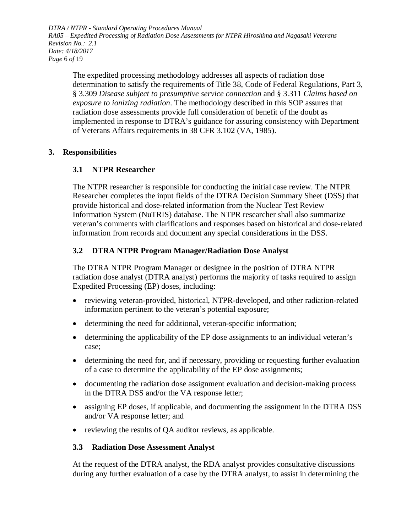*DTRA / NTPR - Standard Operating Procedures Manual RA05 – Expedited Processing of Radiation Dose Assessments for NTPR Hiroshima and Nagasaki Veterans Revision No.: 2.1 Date: 4/18/2017 Page* 6 *of* 19

The expedited processing methodology addresses all aspects of radiation dose determination to satisfy the requirements of Title 38, Code of Federal Regulations, Part 3, § 3.309 *Disease subject to presumptive service connection* and § 3.311 *Claims based on exposure to ionizing radiation*. The methodology described in this SOP assures that radiation dose assessments provide full consideration of benefit of the doubt as implemented in response to DTRA's guidance for assuring consistency with Department of Veterans Affairs requirements in 38 CFR 3.102 (VA, 1985).

#### <span id="page-5-1"></span><span id="page-5-0"></span>**3. Responsibilities**

### **3.1 NTPR Researcher**

The NTPR researcher is responsible for conducting the initial case review. The NTPR Researcher completes the input fields of the DTRA Decision Summary Sheet (DSS) that provide historical and dose-related information from the Nuclear Test Review Information System (NuTRIS) database. The NTPR researcher shall also summarize veteran's comments with clarifications and responses based on historical and dose-related information from records and document any special considerations in the DSS.

### <span id="page-5-2"></span>**3.2 DTRA NTPR Program Manager/Radiation Dose Analyst**

The DTRA NTPR Program Manager or designee in the position of DTRA NTPR radiation dose analyst (DTRA analyst) performs the majority of tasks required to assign Expedited Processing (EP) doses, including:

- reviewing veteran-provided, historical, NTPR-developed, and other radiation-related information pertinent to the veteran's potential exposure;
- determining the need for additional, veteran-specific information;
- determining the applicability of the EP dose assignments to an individual veteran's case;
- determining the need for, and if necessary, providing or requesting further evaluation of a case to determine the applicability of the EP dose assignments;
- documenting the radiation dose assignment evaluation and decision-making process in the DTRA DSS and/or the VA response letter;
- assigning EP doses, if applicable, and documenting the assignment in the DTRA DSS and/or VA response letter; and
- reviewing the results of QA auditor reviews, as applicable.

#### <span id="page-5-3"></span>**3.3 Radiation Dose Assessment Analyst**

At the request of the DTRA analyst, the RDA analyst provides consultative discussions during any further evaluation of a case by the DTRA analyst, to assist in determining the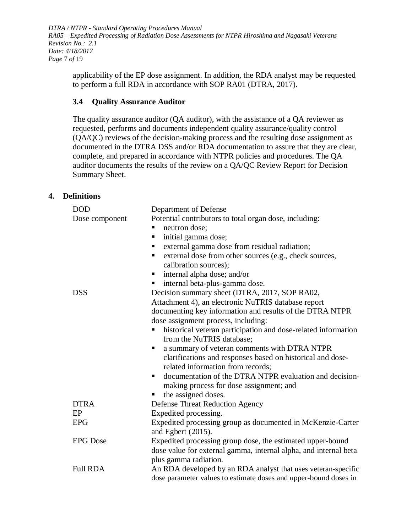*DTRA / NTPR - Standard Operating Procedures Manual RA05 – Expedited Processing of Radiation Dose Assessments for NTPR Hiroshima and Nagasaki Veterans Revision No.: 2.1 Date: 4/18/2017 Page* 7 *of* 19

applicability of the EP dose assignment. In addition, the RDA analyst may be requested to perform a full RDA in accordance with SOP RA01 (DTRA, 2017).

#### <span id="page-6-0"></span>**3.4 Quality Assurance Auditor**

The quality assurance auditor (QA auditor), with the assistance of a QA reviewer as requested, performs and documents independent quality assurance/quality control (QA/QC) reviews of the decision-making process and the resulting dose assignment as documented in the DTRA DSS and/or RDA documentation to assure that they are clear, complete, and prepared in accordance with NTPR policies and procedures. The QA auditor documents the results of the review on a QA/QC Review Report for Decision Summary Sheet.

#### <span id="page-6-1"></span>**4. Definitions**

| <b>DOD</b>      | Department of Defense                                            |
|-----------------|------------------------------------------------------------------|
| Dose component  | Potential contributors to total organ dose, including:           |
|                 | neutron dose;<br>п                                               |
|                 | initial gamma dose;<br>п                                         |
|                 | external gamma dose from residual radiation;<br>п                |
|                 | external dose from other sources (e.g., check sources,<br>п      |
|                 | calibration sources);                                            |
|                 | internal alpha dose; and/or<br>п                                 |
|                 | internal beta-plus-gamma dose.<br>Г                              |
| <b>DSS</b>      | Decision summary sheet (DTRA, 2017, SOP RA02,                    |
|                 | Attachment 4), an electronic NuTRIS database report              |
|                 | documenting key information and results of the DTRA NTPR         |
|                 | dose assignment process, including:                              |
|                 | historical veteran participation and dose-related information    |
|                 | from the NuTRIS database;                                        |
|                 | a summary of veteran comments with DTRA NTPR<br>п                |
|                 | clarifications and responses based on historical and dose-       |
|                 | related information from records;                                |
|                 | documentation of the DTRA NTPR evaluation and decision-<br>ш     |
|                 | making process for dose assignment; and                          |
|                 | the assigned doses.                                              |
| <b>DTRA</b>     | <b>Defense Threat Reduction Agency</b>                           |
| EP              | Expedited processing.                                            |
| <b>EPG</b>      | Expedited processing group as documented in McKenzie-Carter      |
|                 | and Egbert $(2015)$ .                                            |
| <b>EPG</b> Dose | Expedited processing group dose, the estimated upper-bound       |
|                 | dose value for external gamma, internal alpha, and internal beta |
|                 | plus gamma radiation.                                            |
| <b>Full RDA</b> | An RDA developed by an RDA analyst that uses veteran-specific    |
|                 | dose parameter values to estimate doses and upper-bound doses in |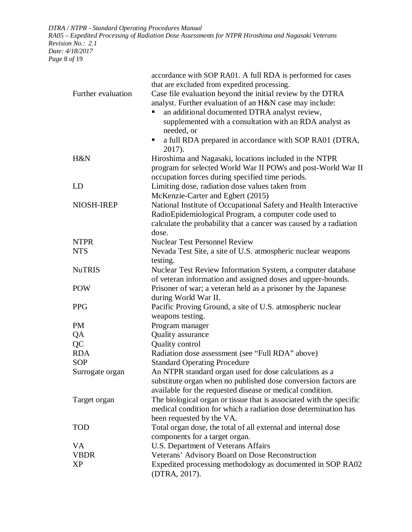*DTRA / NTPR - Standard Operating Procedures Manual RA05 – Expedited Processing of Radiation Dose Assessments for NTPR Hiroshima and Nagasaki Veterans Revision No.: 2.1 Date: 4/18/2017 Page* 8 *of* 19

|                    | accordance with SOP RA01. A full RDA is performed for cases                                                                           |
|--------------------|---------------------------------------------------------------------------------------------------------------------------------------|
|                    | that are excluded from expedited processing.                                                                                          |
| Further evaluation | Case file evaluation beyond the initial review by the DTRA                                                                            |
|                    | analyst. Further evaluation of an H&N case may include:                                                                               |
|                    | an additional documented DTRA analyst review,                                                                                         |
|                    | supplemented with a consultation with an RDA analyst as                                                                               |
|                    | needed, or                                                                                                                            |
|                    | a full RDA prepared in accordance with SOP RA01 (DTRA,<br>п                                                                           |
|                    | 2017).                                                                                                                                |
| H&N                | Hiroshima and Nagasaki, locations included in the NTPR                                                                                |
|                    | program for selected World War II POWs and post-World War II                                                                          |
|                    | occupation forces during specified time periods.                                                                                      |
| LD                 | Limiting dose, radiation dose values taken from                                                                                       |
|                    | McKenzie-Carter and Egbert (2015)                                                                                                     |
| NIOSH-IREP         | National Institute of Occupational Safety and Health Interactive                                                                      |
|                    | RadioEpidemiological Program, a computer code used to                                                                                 |
|                    | calculate the probability that a cancer was caused by a radiation                                                                     |
|                    | dose.                                                                                                                                 |
| <b>NTPR</b>        | <b>Nuclear Test Personnel Review</b>                                                                                                  |
| <b>NTS</b>         | Nevada Test Site, a site of U.S. atmospheric nuclear weapons                                                                          |
|                    | testing.                                                                                                                              |
| <b>NuTRIS</b>      | Nuclear Test Review Information System, a computer database                                                                           |
|                    | of veteran information and assigned doses and upper-bounds.                                                                           |
| <b>POW</b>         | Prisoner of war; a veteran held as a prisoner by the Japanese                                                                         |
|                    | during World War II.                                                                                                                  |
| <b>PPG</b>         | Pacific Proving Ground, a site of U.S. atmospheric nuclear                                                                            |
|                    | weapons testing.                                                                                                                      |
| <b>PM</b>          | Program manager                                                                                                                       |
| QA                 | Quality assurance                                                                                                                     |
| QC                 | Quality control                                                                                                                       |
| <b>RDA</b>         | Radiation dose assessment (see "Full RDA" above)                                                                                      |
| <b>SOP</b>         | <b>Standard Operating Procedure</b>                                                                                                   |
| Surrogate organ    | An NTPR standard organ used for dose calculations as a                                                                                |
|                    | substitute organ when no published dose conversion factors are                                                                        |
|                    | available for the requested disease or medical condition.                                                                             |
|                    |                                                                                                                                       |
| Target organ       | The biological organ or tissue that is associated with the specific<br>medical condition for which a radiation dose determination has |
|                    |                                                                                                                                       |
|                    | been requested by the VA.                                                                                                             |
| <b>TOD</b>         | Total organ dose, the total of all external and internal dose                                                                         |
|                    | components for a target organ.                                                                                                        |
| VA                 | U.S. Department of Veterans Affairs                                                                                                   |
| <b>VBDR</b>        | Veterans' Advisory Board on Dose Reconstruction                                                                                       |
| XP                 | Expedited processing methodology as documented in SOP RA02                                                                            |
|                    | (DTRA, 2017).                                                                                                                         |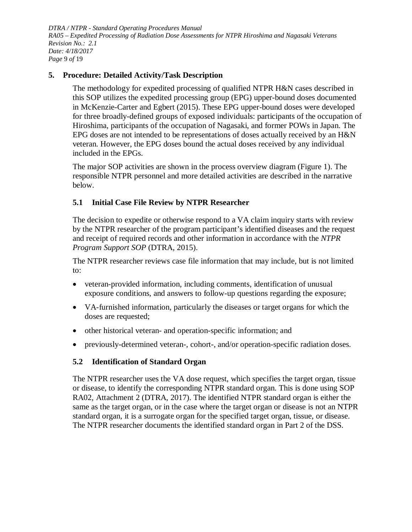*DTRA / NTPR - Standard Operating Procedures Manual RA05 – Expedited Processing of Radiation Dose Assessments for NTPR Hiroshima and Nagasaki Veterans Revision No.: 2.1 Date: 4/18/2017 Page* 9 *of* 19

#### <span id="page-8-0"></span>**5. Procedure: Detailed Activity/Task Description**

The methodology for expedited processing of qualified NTPR H&N cases described in this SOP utilizes the expedited processing group (EPG) upper-bound doses documented in McKenzie-Carter and Egbert (2015). These EPG upper-bound doses were developed for three broadly-defined groups of exposed individuals: participants of the occupation of Hiroshima, participants of the occupation of Nagasaki, and former POWs in Japan. The EPG doses are not intended to be representations of doses actually received by an H&N veteran. However, the EPG doses bound the actual doses received by any individual included in the EPGs.

The major SOP activities are shown in the process overview diagram (Figure 1). The responsible NTPR personnel and more detailed activities are described in the narrative below.

#### <span id="page-8-1"></span>**5.1 Initial Case File Review by NTPR Researcher**

The decision to expedite or otherwise respond to a VA claim inquiry starts with review by the NTPR researcher of the program participant's identified diseases and the request and receipt of required records and other information in accordance with the *NTPR Program Support SOP* (DTRA, 2015).

The NTPR researcher reviews case file information that may include, but is not limited to:

- veteran-provided information, including comments, identification of unusual exposure conditions, and answers to follow-up questions regarding the exposure;
- VA-furnished information, particularly the diseases or target organs for which the doses are requested;
- other historical veteran- and operation-specific information; and
- previously-determined veteran-, cohort-, and/or operation-specific radiation doses.

#### <span id="page-8-2"></span>**5.2 Identification of Standard Organ**

The NTPR researcher uses the VA dose request, which specifies the target organ, tissue or disease, to identify the corresponding NTPR standard organ. This is done using SOP RA02, Attachment 2 (DTRA, 2017). The identified NTPR standard organ is either the same as the target organ, or in the case where the target organ or disease is not an NTPR standard organ, it is a surrogate organ for the specified target organ, tissue, or disease. The NTPR researcher documents the identified standard organ in Part 2 of the DSS.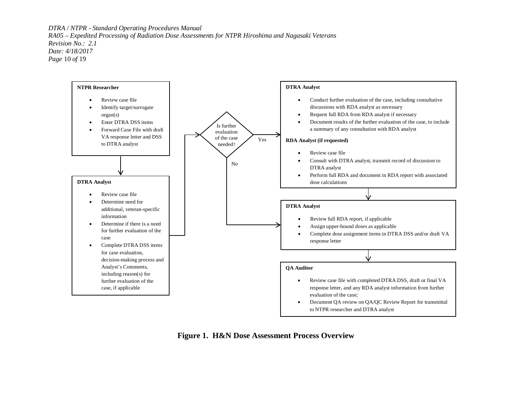*DTRA / NTPR - Standard Operating Procedures Manual RA05 – Expedited Processing of Radiation Dose Assessments for NTPR Hiroshima and Nagasaki Veterans Revision No.: 2.1 Date: 4/18/2017 Page* 10 *of* 19



<span id="page-9-0"></span>**Figure 1. H&N Dose Assessment Process Overview**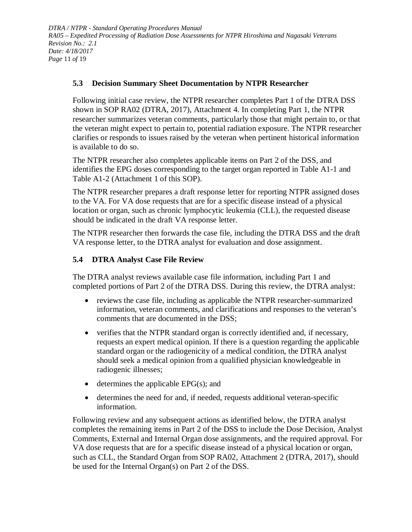*DTRA / NTPR - Standard Operating Procedures Manual RA05 – Expedited Processing of Radiation Dose Assessments for NTPR Hiroshima and Nagasaki Veterans Revision No.: 2.1 Date: 4/18/2017 Page* 11 *of* 19

#### <span id="page-10-0"></span>**5.3 Decision Summary Sheet Documentation by NTPR Researcher**

Following initial case review, the NTPR researcher completes Part 1 of the DTRA DSS shown in SOP RA02 (DTRA, 2017), Attachment 4. In completing Part 1, the NTPR researcher summarizes veteran comments, particularly those that might pertain to, or that the veteran might expect to pertain to, potential radiation exposure. The NTPR researcher clarifies or responds to issues raised by the veteran when pertinent historical information is available to do so.

The NTPR researcher also completes applicable items on Part 2 of the DSS, and identifies the EPG doses corresponding to the target organ reported in [Table](#page-16-0) A1-1 and [Table](#page-17-0) A1-2 (Attachment 1 of this SOP).

The NTPR researcher prepares a draft response letter for reporting NTPR assigned doses to the VA. For VA dose requests that are for a specific disease instead of a physical location or organ, such as chronic lymphocytic leukemia (CLL), the requested disease should be indicated in the draft VA response letter.

The NTPR researcher then forwards the case file, including the DTRA DSS and the draft VA response letter, to the DTRA analyst for evaluation and dose assignment.

#### <span id="page-10-1"></span>**5.4 DTRA Analyst Case File Review**

The DTRA analyst reviews available case file information, including Part 1 and completed portions of Part 2 of the DTRA DSS. During this review, the DTRA analyst:

- reviews the case file, including as applicable the NTPR researcher-summarized information, veteran comments, and clarifications and responses to the veteran's comments that are documented in the DSS;
- verifies that the NTPR standard organ is correctly identified and, if necessary, requests an expert medical opinion. If there is a question regarding the applicable standard organ or the radiogenicity of a medical condition, the DTRA analyst should seek a medical opinion from a qualified physician knowledgeable in radiogenic illnesses;
- determines the applicable  $EPG(s)$ ; and
- determines the need for and, if needed, requests additional veteran-specific information.

Following review and any subsequent actions as identified below, the DTRA analyst completes the remaining items in Part 2 of the DSS to include the Dose Decision, Analyst Comments, External and Internal Organ dose assignments, and the required approval. For VA dose requests that are for a specific disease instead of a physical location or organ, such as CLL, the Standard Organ from SOP RA02, Attachment 2 (DTRA, 2017), should be used for the Internal Organ(s) on Part 2 of the DSS.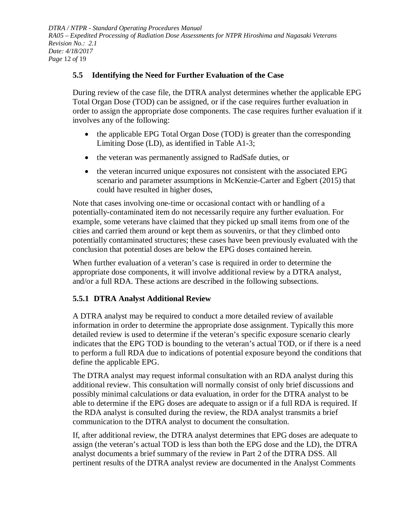*DTRA / NTPR - Standard Operating Procedures Manual RA05 – Expedited Processing of Radiation Dose Assessments for NTPR Hiroshima and Nagasaki Veterans Revision No.: 2.1 Date: 4/18/2017 Page* 12 *of* 19

#### <span id="page-11-0"></span>**5.5 Identifying the Need for Further Evaluation of the Case**

During review of the case file, the DTRA analyst determines whether the applicable EPG Total Organ Dose (TOD) can be assigned, or if the case requires further evaluation in order to assign the appropriate dose components. The case requires further evaluation if it involves any of the following:

- the applicable EPG Total Organ Dose (TOD) is greater than the corresponding Limiting Dose (LD), as identified in [Table](#page-18-0) A1-3;
- the veteran was permanently assigned to RadSafe duties, or
- the veteran incurred unique exposures not consistent with the associated EPG scenario and parameter assumptions in McKenzie-Carter and Egbert (2015) that could have resulted in higher doses,

Note that cases involving one-time or occasional contact with or handling of a potentially-contaminated item do not necessarily require any further evaluation. For example, some veterans have claimed that they picked up small items from one of the cities and carried them around or kept them as souvenirs, or that they climbed onto potentially contaminated structures; these cases have been previously evaluated with the conclusion that potential doses are below the EPG doses contained herein.

When further evaluation of a veteran's case is required in order to determine the appropriate dose components, it will involve additional review by a DTRA analyst, and/or a full RDA. These actions are described in the following subsections.

### <span id="page-11-1"></span>**5.5.1 DTRA Analyst Additional Review**

A DTRA analyst may be required to conduct a more detailed review of available information in order to determine the appropriate dose assignment. Typically this more detailed review is used to determine if the veteran's specific exposure scenario clearly indicates that the EPG TOD is bounding to the veteran's actual TOD, or if there is a need to perform a full RDA due to indications of potential exposure beyond the conditions that define the applicable EPG.

The DTRA analyst may request informal consultation with an RDA analyst during this additional review. This consultation will normally consist of only brief discussions and possibly minimal calculations or data evaluation, in order for the DTRA analyst to be able to determine if the EPG doses are adequate to assign or if a full RDA is required. If the RDA analyst is consulted during the review, the RDA analyst transmits a brief communication to the DTRA analyst to document the consultation.

If, after additional review, the DTRA analyst determines that EPG doses are adequate to assign (the veteran's actual TOD is less than both the EPG dose and the LD), the DTRA analyst documents a brief summary of the review in Part 2 of the DTRA DSS. All pertinent results of the DTRA analyst review are documented in the Analyst Comments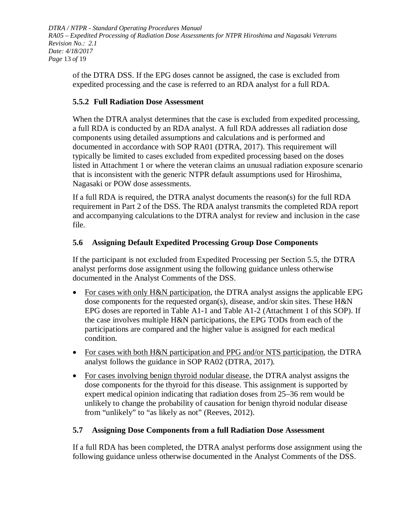*DTRA / NTPR - Standard Operating Procedures Manual RA05 – Expedited Processing of Radiation Dose Assessments for NTPR Hiroshima and Nagasaki Veterans Revision No.: 2.1 Date: 4/18/2017 Page* 13 *of* 19

of the DTRA DSS. If the EPG doses cannot be assigned, the case is excluded from expedited processing and the case is referred to an RDA analyst for a full RDA.

### <span id="page-12-0"></span>**5.5.2 Full Radiation Dose Assessment**

When the DTRA analyst determines that the case is excluded from expedited processing, a full RDA is conducted by an RDA analyst. A full RDA addresses all radiation dose components using detailed assumptions and calculations and is performed and documented in accordance with SOP RA01 (DTRA, 2017). This requirement will typically be limited to cases excluded from expedited processing based on the doses listed in Attachment 1 or where the veteran claims an unusual radiation exposure scenario that is inconsistent with the generic NTPR default assumptions used for Hiroshima, Nagasaki or POW dose assessments.

If a full RDA is required, the DTRA analyst documents the reason(s) for the full RDA requirement in Part 2 of the DSS. The RDA analyst transmits the completed RDA report and accompanying calculations to the DTRA analyst for review and inclusion in the case file.

### <span id="page-12-1"></span>**5.6 Assigning Default Expedited Processing Group Dose Components**

If the participant is not excluded from Expedited Processing per Section [5.5,](#page-11-0) the DTRA analyst performs dose assignment using the following guidance unless otherwise documented in the Analyst Comments of the DSS.

- For cases with only H&N participation, the DTRA analyst assigns the applicable EPG dose components for the requested organ(s), disease, and/or skin sites. These H&N EPG doses are reported in [Table](#page-16-0) A1-1 and [Table](#page-17-0) A1-2 (Attachment 1 of this SOP). If the case involves multiple H&N participations, the EPG TODs from each of the participations are compared and the higher value is assigned for each medical condition.
- For cases with both H&N participation and PPG and/or NTS participation, the DTRA analyst follows the guidance in SOP RA02 (DTRA, 2017)*.*
- For cases involving benign thyroid nodular disease, the DTRA analyst assigns the dose components for the thyroid for this disease. This assignment is supported by expert medical opinion indicating that radiation doses from 25–36 rem would be unlikely to change the probability of causation for benign thyroid nodular disease from "unlikely" to "as likely as not" (Reeves, 2012).

#### <span id="page-12-2"></span>**5.7 Assigning Dose Components from a full Radiation Dose Assessment**

If a full RDA has been completed, the DTRA analyst performs dose assignment using the following guidance unless otherwise documented in the Analyst Comments of the DSS.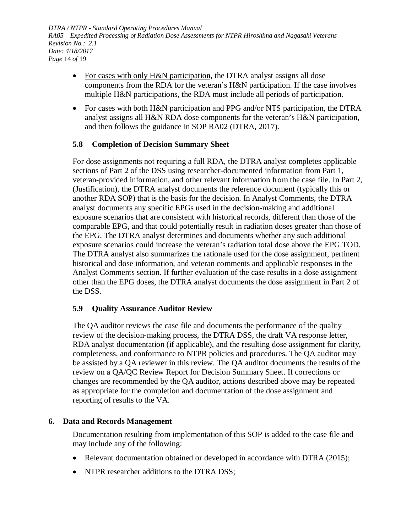*DTRA / NTPR - Standard Operating Procedures Manual RA05 – Expedited Processing of Radiation Dose Assessments for NTPR Hiroshima and Nagasaki Veterans Revision No.: 2.1 Date: 4/18/2017 Page* 14 *of* 19

- For cases with only H&N participation, the DTRA analyst assigns all dose components from the RDA for the veteran's H&N participation. If the case involves multiple H&N participations, the RDA must include all periods of participation.
- For cases with both H&N participation and PPG and/or NTS participation, the DTRA analyst assigns all H&N RDA dose components for the veteran's H&N participation, and then follows the guidance in SOP RA02 (DTRA, 2017)*.*

#### <span id="page-13-0"></span>**5.8 Completion of Decision Summary Sheet**

For dose assignments not requiring a full RDA, the DTRA analyst completes applicable sections of Part 2 of the DSS using researcher-documented information from Part 1, veteran-provided information, and other relevant information from the case file. In Part 2, (Justification), the DTRA analyst documents the reference document (typically this or another RDA SOP) that is the basis for the decision. In Analyst Comments, the DTRA analyst documents any specific EPGs used in the decision-making and additional exposure scenarios that are consistent with historical records, different than those of the comparable EPG, and that could potentially result in radiation doses greater than those of the EPG. The DTRA analyst determines and documents whether any such additional exposure scenarios could increase the veteran's radiation total dose above the EPG TOD. The DTRA analyst also summarizes the rationale used for the dose assignment, pertinent historical and dose information, and veteran comments and applicable responses in the Analyst Comments section. If further evaluation of the case results in a dose assignment other than the EPG doses, the DTRA analyst documents the dose assignment in Part 2 of the DSS.

#### <span id="page-13-1"></span>**5.9 Quality Assurance Auditor Review**

The QA auditor reviews the case file and documents the performance of the quality review of the decision-making process, the DTRA DSS, the draft VA response letter, RDA analyst documentation (if applicable), and the resulting dose assignment for clarity, completeness, and conformance to NTPR policies and procedures. The QA auditor may be assisted by a QA reviewer in this review. The QA auditor documents the results of the review on a QA/QC Review Report for Decision Summary Sheet. If corrections or changes are recommended by the QA auditor, actions described above may be repeated as appropriate for the completion and documentation of the dose assignment and reporting of results to the VA.

#### <span id="page-13-2"></span>**6. Data and Records Management**

Documentation resulting from implementation of this SOP is added to the case file and may include any of the following:

- Relevant documentation obtained or developed in accordance with DTRA (2015);
- NTPR researcher additions to the DTRA DSS;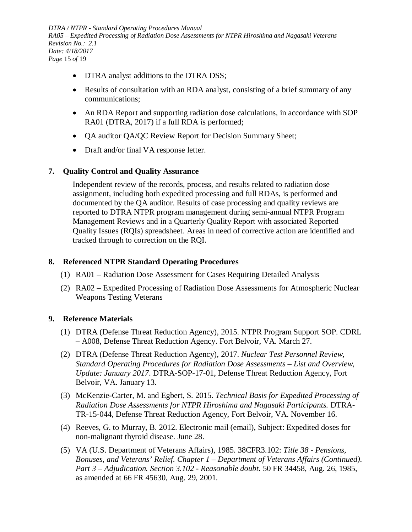*DTRA / NTPR - Standard Operating Procedures Manual RA05 – Expedited Processing of Radiation Dose Assessments for NTPR Hiroshima and Nagasaki Veterans Revision No.: 2.1 Date: 4/18/2017 Page* 15 *of* 19

- DTRA analyst additions to the DTRA DSS;
- Results of consultation with an RDA analyst, consisting of a brief summary of any communications;
- An RDA Report and supporting radiation dose calculations, in accordance with SOP RA01 (DTRA, 2017) if a full RDA is performed;
- QA auditor QA/QC Review Report for Decision Summary Sheet;
- Draft and/or final VA response letter.

#### <span id="page-14-0"></span>**7. Quality Control and Quality Assurance**

Independent review of the records, process, and results related to radiation dose assignment, including both expedited processing and full RDAs, is performed and documented by the QA auditor. Results of case processing and quality reviews are reported to DTRA NTPR program management during semi-annual NTPR Program Management Reviews and in a Quarterly Quality Report with associated Reported Quality Issues (RQIs) spreadsheet. Areas in need of corrective action are identified and tracked through to correction on the RQI.

#### <span id="page-14-1"></span>**8. Referenced NTPR Standard Operating Procedures**

- (1) RA01 Radiation Dose Assessment for Cases Requiring Detailed Analysis
- (2) RA02 Expedited Processing of Radiation Dose Assessments for Atmospheric Nuclear Weapons Testing Veterans

#### <span id="page-14-2"></span>**9. Reference Materials**

- (1) DTRA (Defense Threat Reduction Agency), 2015. NTPR Program Support SOP. CDRL – A008, Defense Threat Reduction Agency. Fort Belvoir, VA. March 27.
- (2) DTRA (Defense Threat Reduction Agency), 2017. *Nuclear Test Personnel Review, Standard Operating Procedures for Radiation Dose Assessments – List and Overview, Update: January 2017*. DTRA-SOP-17-01, Defense Threat Reduction Agency, Fort Belvoir, VA. January 13.
- (3) McKenzie-Carter, M. and Egbert, S. 2015. *Technical Basis for Expedited Processing of Radiation Dose Assessments for NTPR Hiroshima and Nagasaki Participants.* DTRA-TR-15-044, Defense Threat Reduction Agency, Fort Belvoir, VA. November 16.
- (4) Reeves, G. to Murray, B. 2012. Electronic mail (email), Subject: Expedited doses for non-malignant thyroid disease. June 28.
- (5) VA (U.S. Department of Veterans Affairs), 1985. 38CFR3.102: *Title 38 - Pensions, Bonuses, and Veterans' Relief. Chapter 1 – Department of Veterans Affairs (Continued). Part 3 – Adjudication. Section 3.102 - Reasonable doubt*. 50 FR 34458, Aug. 26, 1985, as amended at 66 FR 45630, Aug. 29, 2001.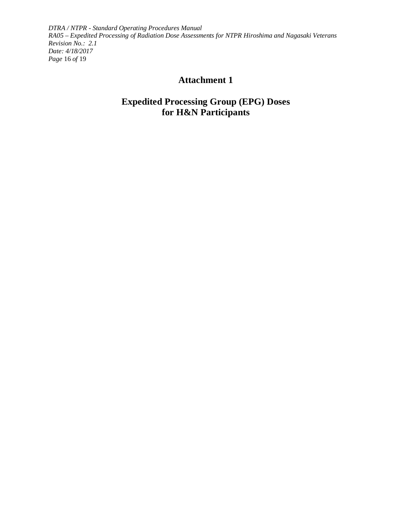<span id="page-15-0"></span>*DTRA / NTPR - Standard Operating Procedures Manual RA05 – Expedited Processing of Radiation Dose Assessments for NTPR Hiroshima and Nagasaki Veterans Revision No.: 2.1 Date: 4/18/2017 Page* 16 *of* 19

## **Attachment 1**

## **Expedited Processing Group (EPG) Doses for H&N Participants**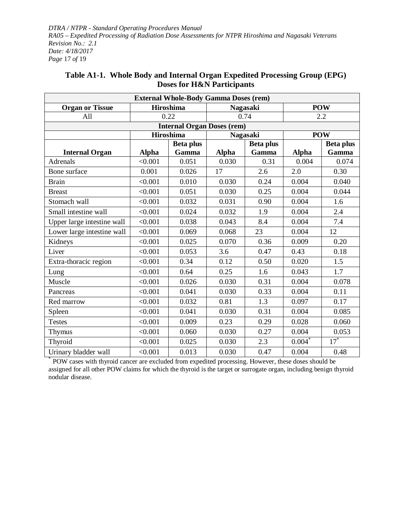*DTRA / NTPR - Standard Operating Procedures Manual RA05 – Expedited Processing of Radiation Dose Assessments for NTPR Hiroshima and Nagasaki Veterans Revision No.: 2.1 Date: 4/18/2017 Page* 17 *of* 19

| <b>External Whole-Body Gamma Doses (rem)</b> |                  |                                   |                  |                 |              |                  |  |
|----------------------------------------------|------------------|-----------------------------------|------------------|-----------------|--------------|------------------|--|
| <b>Hiroshima</b><br><b>Organ or Tissue</b>   |                  | <b>Nagasaki</b>                   |                  | <b>POW</b>      |              |                  |  |
| All                                          | 0.22             |                                   | 0.74             |                 | 2.2          |                  |  |
|                                              |                  | <b>Internal Organ Doses (rem)</b> |                  |                 |              |                  |  |
|                                              |                  | <b>Hiroshima</b>                  |                  | <b>Nagasaki</b> |              | <b>POW</b>       |  |
|                                              | <b>Beta plus</b> |                                   | <b>Beta plus</b> |                 |              | <b>Beta plus</b> |  |
| <b>Internal Organ</b>                        | <b>Alpha</b>     | Gamma                             | <b>Alpha</b>     | Gamma           | <b>Alpha</b> | Gamma            |  |
| <b>Adrenals</b>                              | < 0.001          | 0.051                             | 0.030            | 0.31            | 0.004        | 0.074            |  |
| Bone surface                                 | 0.001            | 0.026                             | 17               | 2.6             | 2.0          | 0.30             |  |
| <b>Brain</b>                                 | < 0.001          | 0.010                             | 0.030            | 0.24            | 0.004        | 0.040            |  |
| <b>Breast</b>                                | < 0.001          | 0.051                             | 0.030            | 0.25            | 0.004        | 0.044            |  |
| Stomach wall                                 | < 0.001          | 0.032                             | 0.031            | 0.90            | 0.004        | 1.6              |  |
| Small intestine wall                         | < 0.001          | 0.024                             | 0.032            | 1.9             | 0.004        | 2.4              |  |
| Upper large intestine wall                   | < 0.001          | 0.038                             | 0.043            | 8.4             | 0.004        | 7.4              |  |
| Lower large intestine wall                   | < 0.001          | 0.069                             | 0.068            | 23              | 0.004        | 12               |  |
| Kidneys                                      | < 0.001          | 0.025                             | 0.070            | 0.36            | 0.009        | 0.20             |  |
| Liver                                        | < 0.001          | 0.053                             | 3.6              | 0.47            | 0.43         | 0.18             |  |
| Extra-thoracic region                        | < 0.001          | 0.34                              | 0.12             | 0.50            | 0.020        | 1.5              |  |
| Lung                                         | < 0.001          | 0.64                              | 0.25             | 1.6             | 0.043        | 1.7              |  |
| Muscle                                       | < 0.001          | 0.026                             | 0.030            | 0.31            | 0.004        | 0.078            |  |
| Pancreas                                     | < 0.001          | 0.041                             | 0.030            | 0.33            | 0.004        | 0.11             |  |
| Red marrow                                   | < 0.001          | 0.032                             | 0.81             | 1.3             | 0.097        | 0.17             |  |
| Spleen                                       | < 0.001          | 0.041                             | 0.030            | 0.31            | 0.004        | 0.085            |  |
| <b>Testes</b>                                | < 0.001          | 0.009                             | 0.23             | 0.29            | 0.028        | 0.060            |  |
| Thymus                                       | < 0.001          | 0.060                             | 0.030            | 0.27            | 0.004        | 0.053            |  |
| Thyroid                                      | < 0.001          | 0.025                             | 0.030            | 2.3             | $0.004*$     | $17^*$           |  |
| Urinary bladder wall                         | < 0.001          | 0.013                             | 0.030            | 0.47            | 0.004        | 0.48             |  |

### <span id="page-16-0"></span>**Table A1-1. Whole Body and Internal Organ Expedited Processing Group (EPG) Doses for H&N Participants**

\* POW cases with thyroid cancer are excluded from expedited processing. However, these doses should be assigned for all other POW claims for which the thyroid is the target or surrogate organ, including benign thyroid nodular disease.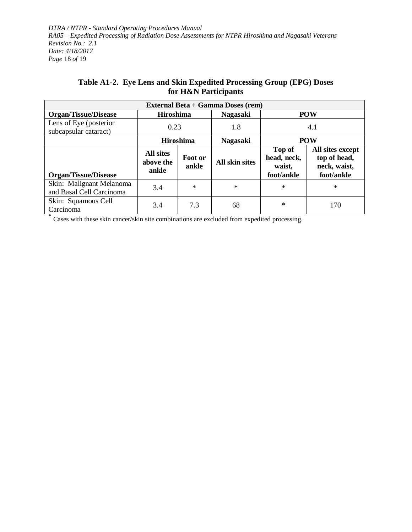*DTRA / NTPR - Standard Operating Procedures Manual RA05 – Expedited Processing of Radiation Dose Assessments for NTPR Hiroshima and Nagasaki Veterans Revision No.: 2.1 Date: 4/18/2017 Page* 18 *of* 19

| Table A1-2. Eye Lens and Skin Expedited Processing Group (EPG) Doses |
|----------------------------------------------------------------------|
| for H&N Participants                                                 |

<span id="page-17-0"></span>

| <b>External Beta + Gamma Doses (rem)</b>             |                                        |                  |                       |                                               |                                                                |  |  |
|------------------------------------------------------|----------------------------------------|------------------|-----------------------|-----------------------------------------------|----------------------------------------------------------------|--|--|
| <b>Organ/Tissue/Disease</b>                          | <b>Hiroshima</b>                       |                  | <b>Nagasaki</b>       | <b>POW</b>                                    |                                                                |  |  |
| Lens of Eye (posterior<br>subcapsular cataract)      | 0.23                                   |                  | 1.8                   | 4.1                                           |                                                                |  |  |
|                                                      | <b>Hiroshima</b>                       |                  | <b>Nagasaki</b>       | <b>POW</b>                                    |                                                                |  |  |
| <b>Organ/Tissue/Disease</b>                          | <b>All sites</b><br>above the<br>ankle | Foot or<br>ankle | <b>All skin sites</b> | Top of<br>head, neck,<br>waist,<br>foot/ankle | All sites except<br>top of head,<br>neck, waist,<br>foot/ankle |  |  |
| Skin: Malignant Melanoma<br>and Basal Cell Carcinoma | 3.4                                    | $\ast$           | $\ast$                | $\ast$                                        | $\ast$                                                         |  |  |
| Skin: Squamous Cell<br>Carcinoma                     | 3.4                                    | 7.3              | 68                    | $\ast$                                        | 170                                                            |  |  |

**\*** Cases with these skin cancer/skin site combinations are excluded from expedited processing.